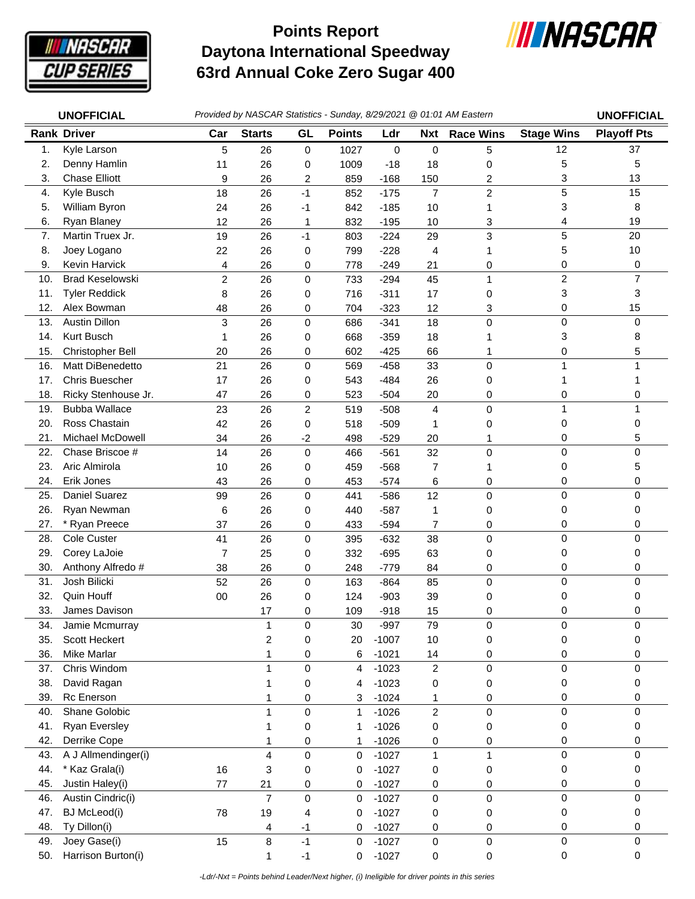

## **Daytona International Speedway 63rd Annual Coke Zero Sugar 400 Points Report**



| <b>Rank Driver</b><br>GL<br><b>Points</b><br><b>Stage Wins</b><br>Car<br><b>Starts</b><br>Ldr<br><b>Race Wins</b><br>Nxt                                          |                    |
|-------------------------------------------------------------------------------------------------------------------------------------------------------------------|--------------------|
|                                                                                                                                                                   | <b>Playoff Pts</b> |
| 1.<br>Kyle Larson<br>12<br>5<br>1027<br>5<br>26<br>0<br>0<br>0                                                                                                    | 37                 |
| 2.<br>Denny Hamlin<br>26<br>1009<br>5<br>11<br>$-18$<br>18<br>0<br>0                                                                                              | 5                  |
| <b>Chase Elliott</b><br>3.<br>9<br>859<br>2<br>3<br>26<br>2<br>$-168$<br>150                                                                                      | 13                 |
| 5<br>$\overline{c}$<br>Kyle Busch<br>18<br>$\overline{7}$<br>4.<br>26<br>$-1$<br>852<br>$-175$                                                                    | 15                 |
| William Byron<br>3<br>5.<br>26<br>24<br>$-1$<br>842<br>$-185$<br>10<br>1                                                                                          | 8                  |
| 6.<br>Ryan Blaney<br>12<br>26<br>832<br>4<br>$\mathbf{1}$<br>$-195$<br>10<br>3                                                                                    | 19                 |
| 5<br>Martin Truex Jr.<br>3<br>7.<br>19<br>26<br>$-1$<br>$-224$<br>29<br>803                                                                                       | 20                 |
| 5<br>8.<br>Joey Logano<br>$-228$<br>22<br>26<br>0<br>799<br>4<br>1                                                                                                | 10                 |
| 9.<br>Kevin Harvick<br>26<br>$-249$<br>0<br>4<br>778<br>21<br>0<br>0                                                                                              | 0                  |
| $\overline{\mathbf{c}}$<br>$\overline{c}$<br>10.<br><b>Brad Keselowski</b><br>0<br>$\mathbf{1}$<br>26<br>733<br>$-294$<br>45                                      | 7                  |
| 11.<br><b>Tyler Reddick</b><br>8<br>716<br>$-311$<br>3<br>26<br>17<br>0<br>0                                                                                      | 3                  |
| 12.<br>Alex Bowman<br>0<br>48<br>26<br>704<br>$-323$<br>12<br>3<br>0                                                                                              | 15                 |
| <b>Austin Dillon</b><br>3<br>0<br>13.<br>26<br>$\mathbf 0$<br>$-341$<br>18<br>$\mathbf 0$<br>686                                                                  | 0                  |
| 3<br>Kurt Busch<br>14.<br>26<br>0<br>668<br>$-359$<br>18<br>1<br>1                                                                                                | 8                  |
| 15.<br>Christopher Bell<br>26<br>$-425$<br>0<br>20<br>0<br>602<br>66<br>1                                                                                         | 5                  |
| Matt DiBenedetto<br>$\mathbf{1}$<br>21<br>26<br>$\pmb{0}$<br>$\pmb{0}$<br>16.<br>569<br>$-458$<br>33                                                              |                    |
| 17.<br><b>Chris Buescher</b><br>26<br>$-484$<br>17<br>0<br>543<br>26<br>0<br>1                                                                                    |                    |
| 18.<br>Ricky Stenhouse Jr.<br>26<br>0<br>47<br>523<br>$-504$<br>20<br>0<br>0                                                                                      | 0                  |
| <b>Bubba Wallace</b><br>$\overline{c}$<br>19.<br>23<br>26<br>519<br>$-508$<br>4<br>$\pmb{0}$<br>$\mathbf{1}$                                                      | 1                  |
| Ross Chastain<br>20.<br>26<br>$-509$<br>0<br>42<br>0<br>518<br>1<br>0                                                                                             | 0                  |
| Michael McDowell<br>21.<br>26<br>$-529$<br>0<br>34<br>$-2$<br>498<br>20<br>1                                                                                      | 5                  |
| Chase Briscoe #<br>0<br>22.<br>26<br>$\mathbf 0$<br>32<br>$\mathbf 0$<br>14<br>466<br>$-561$                                                                      | 0                  |
| 23.<br>Aric Almirola<br>0<br>26<br>10<br>0<br>459<br>$-568$<br>7<br>1                                                                                             | 5                  |
| 24.<br>Erik Jones<br>26<br>0<br>43<br>0<br>453<br>$-574$<br>6<br>0                                                                                                | 0                  |
| Daniel Suarez<br>$\pmb{0}$<br>12<br>$\mathbf 0$<br>0<br>25.<br>99<br>26<br>441<br>$-586$                                                                          | 0                  |
| 26.<br>Ryan Newman<br>6<br>26<br>$-587$<br>440<br>1<br>0<br>0<br>0                                                                                                | 0                  |
| 27.<br>* Ryan Preece<br>37<br>26<br>433<br>$-594$<br>$\overline{7}$<br>0<br>0<br>0                                                                                | 0                  |
| Cole Custer<br>0<br>28.<br>41<br>26<br>$\pmb{0}$<br>$-632$<br>38<br>$\pmb{0}$<br>395                                                                              | 0                  |
| 29.<br>Corey LaJoie<br>0<br>7<br>25<br>332<br>$-695$<br>63<br>0<br>0                                                                                              | 0                  |
| 30.<br>Anthony Alfredo #<br>38<br>26<br>248<br>0<br>0<br>$-779$<br>84<br>0                                                                                        | 0                  |
| Josh Bilicki<br>0<br>31.<br>52<br>$\pmb{0}$<br>26<br>$\pmb{0}$<br>163<br>$-864$<br>85                                                                             | 0                  |
| 32.<br>Quin Houff<br>26<br>39<br>0<br>00<br>0<br>124<br>$-903$<br>0                                                                                               | 0                  |
| 33.<br>0<br>James Davison<br>17<br>0<br>109<br>$-918$<br>15<br>0                                                                                                  | 0                  |
| Jamie Mcmurray<br>$-997$<br>$\pmb{0}$<br>79<br>$\pmb{0}$<br>0<br>34.<br>1<br>30                                                                                   | 0                  |
| 35.<br>Scott Heckert<br>$\overline{\mathbf{c}}$<br>$-1007$<br>0<br>0<br>20<br>10<br>0                                                                             | 0                  |
| 36.<br>Mike Marlar<br>$-1021$<br>0<br>6<br>0<br>14<br>0<br>1                                                                                                      | 0                  |
| Chris Windom<br>$\pmb{0}$<br>$\pmb{0}$<br>0<br>37.<br>$-1023$<br>$\overline{2}$<br>1<br>4                                                                         | 0                  |
| 38.<br>David Ragan<br>0<br>$-1023$<br>0<br>0<br>0<br>1<br>4<br>Rc Enerson<br>$-1024$<br>39.<br>0                                                                  | 0                  |
| 3<br>0<br>0<br>1<br>1<br>Shane Golobic<br>$\mathsf 0$<br>$\pmb{0}$<br>1<br>$\mathbf{1}$<br>40.                                                                    | 0<br>0             |
| $\boldsymbol{2}$<br>$\pmb{0}$<br>$-1026$<br><b>Ryan Eversley</b><br>41.                                                                                           |                    |
| $\boldsymbol{0}$<br>$-1026$<br>0<br>0<br>0<br>1<br>1<br>Derrike Cope<br>42.                                                                                       | 0                  |
| $-1026$<br>0<br>0<br>1<br>1<br>0<br>0                                                                                                                             | 0                  |
| A J Allmendinger(i)<br>$\overline{\mathbf{4}}$<br>$\pmb{0}$<br>0<br>43.<br>$-1027$<br>$\mathbf 1$<br>$\mathbf{1}$<br>0<br>44.<br>* Kaz Grala(i)                   | 0                  |
| 16<br>3<br>$-1027$<br>0<br>0<br>0<br>0<br>0                                                                                                                       | 0                  |
| 45.<br>Justin Haley(i)<br>$-1027$<br>77<br>21<br>0<br>0<br>0<br>0<br>0<br>$\overline{7}$<br>$\mathsf 0$<br>Austin Cindric(i)<br>$\mathsf 0$<br>$\mathsf 0$<br>46. | 0<br>0             |
| $\pmb{0}$<br>$\pmb{0}$<br>$-1027$<br>47.<br><b>BJ</b> McLeod(i)<br>78<br>19<br>$-1027$<br>0<br>4<br>0<br>0                                                        | 0                  |
| 0<br>Ty Dillon(i)<br>0<br>48.<br>$-1027$<br>4<br>$-1$<br>0<br>0<br>0                                                                                              | 0                  |
| 8<br>$\mathbf 0$<br>Joey Gase(i)<br>15<br>$-1$<br>$\pmb{0}$<br>49.<br>0<br>$-1027$<br>$\pmb{0}$                                                                   | 0                  |
| $\mathbf 0$<br>Harrison Burton(i)<br>$-1027$<br>50.<br>0<br>1<br>$-1$<br>0<br>0                                                                                   | 0                  |